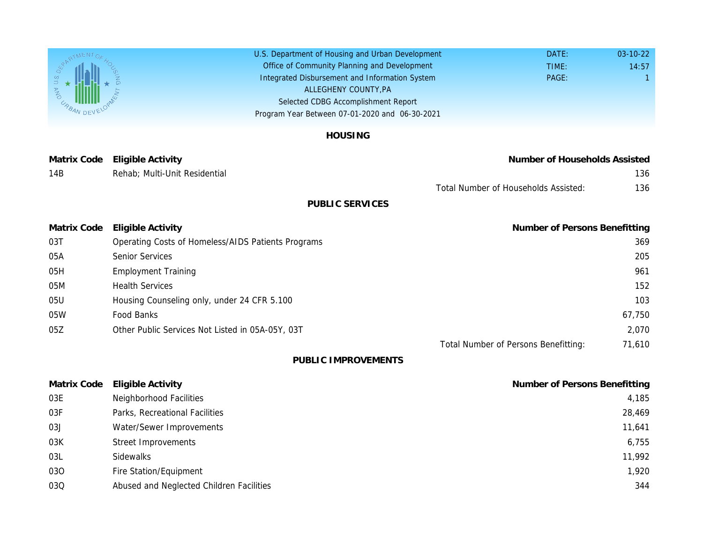U.S. Department of Housing and Urban Development Office of Community Planning and Development Integrated Disbursement and Information System Selected CDBG Accomplishment Report Program Year Between 07-01-2020 and 06-30-2021 ALLEGHENY COUNTY,PA

## HOUSING

Matrix Code Eligible Activity **Number** of Households Assisted Assisted Assisted Assisted Assisted Assisted Assist 14B Rehab; Multi-Unit Residential

Total Number of Household

## PUBLIC SERVICES

| <b>Matrix Code</b> | Eligible Activity                                  | Number |
|--------------------|----------------------------------------------------|--------|
| 03T                | Operating Costs of Homeless/AIDS Patients Programs |        |
| 05A                | <b>Senior Services</b>                             |        |
| 05H                | <b>Employment Training</b>                         |        |
| 05M                | <b>Health Services</b>                             |        |
| 05U                | Housing Counseling only, under 24 CFR 5.100        |        |
| 05W                | Food Banks                                         |        |
| 05Z                | Other Public Services Not Listed in 05A-05Y, 03T   |        |
|                    |                                                    |        |

Total Number of Persons I

PUBLIC IMPROVEMENTS

| Matrix Code | <b>Eligible Activity</b>                 | Number |
|-------------|------------------------------------------|--------|
| 03E         | Neighborhood Facilities                  |        |
| 03F         | Parks, Recreational Facilities           |        |
| 03J         | Water/Sewer Improvements                 |        |
| 03K         | <b>Street Improvements</b>               |        |
| 03L         | Sidewalks                                |        |
| 030         | Fire Station/Equipment                   |        |
| 03Q         | Abused and Neglected Children Facilities |        |